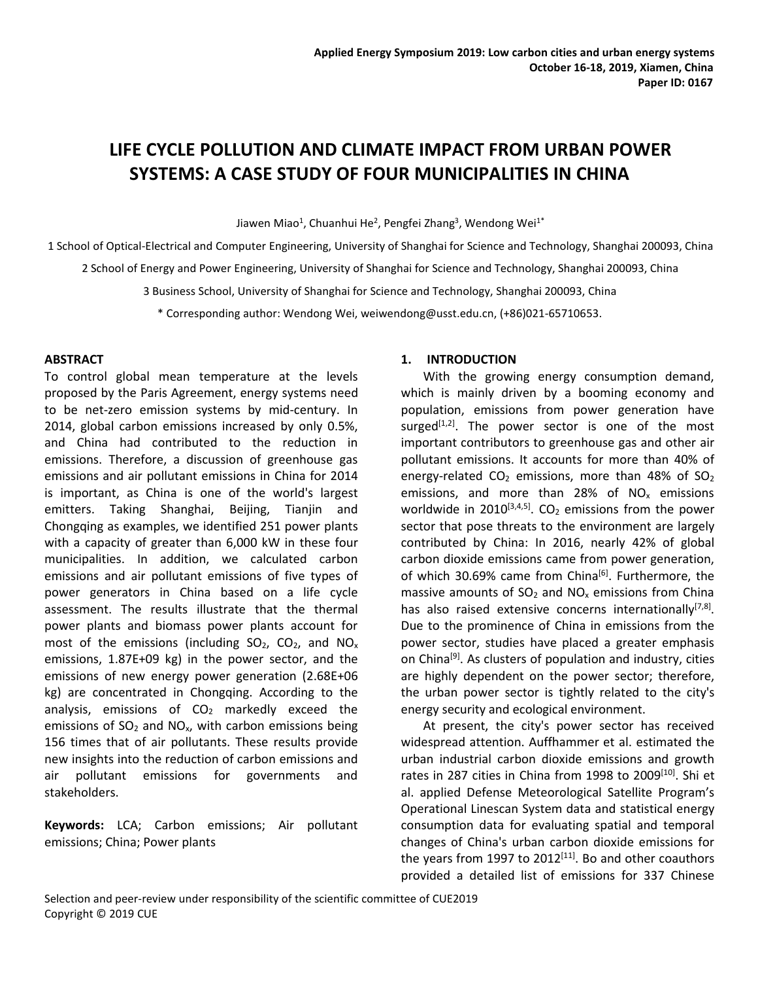# **LIFE CYCLE POLLUTION AND CLIMATE IMPACT FROM URBAN POWER SYSTEMS: A CASE STUDY OF FOUR MUNICIPALITIES IN CHINA**

Jiawen Miao<sup>1</sup>, Chuanhui He<sup>2</sup>, Pengfei Zhang<sup>3</sup>, Wendong Wei<sup>1\*</sup>

1 School of Optical-Electrical and Computer Engineering, University of Shanghai for Science and Technology, Shanghai 200093, China 2 School of Energy and Power Engineering, University of Shanghai for Science and Technology, Shanghai 200093, China

3 Business School, University of Shanghai for Science and Technology, Shanghai 200093, China

\* Corresponding author: Wendong Wei, weiwendong@usst.edu.cn, (+86)021-65710653.

#### **ABSTRACT**

To control global mean temperature at the levels proposed by the Paris Agreement, energy systems need to be net-zero emission systems by mid-century. In 2014, global carbon emissions increased by only 0.5%, and China had contributed to the reduction in emissions. Therefore, a discussion of greenhouse gas emissions and air pollutant emissions in China for 2014 is important, as China is one of the world's largest emitters. Taking Shanghai, Beijing, Tianjin and Chongqing as examples, we identified 251 power plants with a capacity of greater than 6,000 kW in these four municipalities. In addition, we calculated carbon emissions and air pollutant emissions of five types of power generators in China based on a life cycle assessment. The results illustrate that the thermal power plants and biomass power plants account for most of the emissions (including  $SO_2$ ,  $CO_2$ , and  $NO_x$ emissions, 1.87E+09 kg) in the power sector, and the emissions of new energy power generation (2.68E+06 kg) are concentrated in Chongqing. According to the analysis, emissions of  $CO<sub>2</sub>$  markedly exceed the emissions of  $SO<sub>2</sub>$  and  $NO<sub>x</sub>$ , with carbon emissions being 156 times that of air pollutants. These results provide new insights into the reduction of carbon emissions and air pollutant emissions for governments and stakeholders.

**Keywords:** LCA; Carbon emissions; Air pollutant emissions; China; Power plants

## **1. INTRODUCTION**

With the growing energy consumption demand, which is mainly driven by a booming economy and population, emissions from power generation have surged<sup>[1,2]</sup>. The power sector is one of the most important contributors to greenhouse gas and other air pollutant emissions. It accounts for more than 40% of energy-related  $CO<sub>2</sub>$  emissions, more than 48% of  $SO<sub>2</sub>$ emissions, and more than 28% of  $NO<sub>x</sub>$  emissions worldwide in 2010 $^{[3,4,5]}$ . CO $_2$  emissions from the power sector that pose threats to the environment are largely contributed by China: In 2016, nearly 42% of global carbon dioxide emissions came from power generation, of which 30.69% came from China<sup>[6]</sup>. Furthermore, the massive amounts of  $SO<sub>2</sub>$  and  $NO<sub>x</sub>$  emissions from China has also raised extensive concerns internationally<sup>[7,8]</sup>. Due to the prominence of China in emissions from the power sector, studies have placed a greater emphasis on China<sup>[9]</sup>. As clusters of population and industry, cities are highly dependent on the power sector; therefore, the urban power sector is tightly related to the city's energy security and ecological environment.

At present, the city's power sector has received widespread attention. Auffhammer et al. estimated the urban industrial carbon dioxide emissions and growth rates in 287 cities in China from 1998 to 2009<sup>[10]</sup>. Shi et al. applied Defense [Meteorological](https://www-sciencedirect-com-443.webvpn.usst.edu.cn/topics/engineering/weather-satellites) Satellite Program's Operational Linescan System data and statistical energy consumption data for evaluating spatial and temporal changes of China's urban carbon dioxide emissions for the years from 1997 to 2012<sup>[11]</sup>. Bo and other coauthors provided a detailed list of emissions for 337 Chinese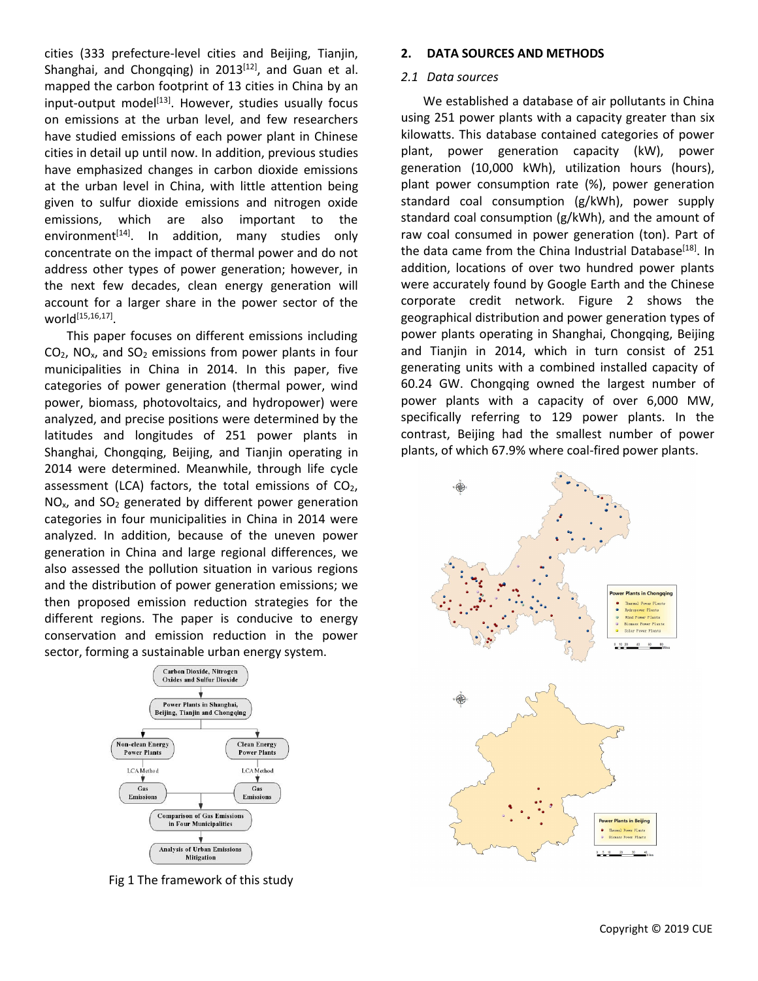cities (333 prefecture-level cities and Beijing, Tianjin, Shanghai, and Chongqing) in 2013<sup>[12]</sup>, and Guan et al. <br>mapped the carbon footprint of 13 cities in China by an  $2.1$  Data source. input-output model<sup>[13]</sup>. However, studies usually focus https://weidsion. on emissions at the urban level, and few researchers have studied emissions of each power plant in Chinese cities in detail up until now. In addition, previous studies have emphasized changes in carbon dioxide emissions at the urban level in China, with little attention being given to sulfur dioxide emissions and nitrogen oxide emissions, which are also important to the environment<sup>[14]</sup>. In addition, many studies only in rawicoal con concentrate on the impact of thermal power and do not address other types of power generation; however, in the next few decades, clean energy generation will account for a larger share in the power sector of the  $world^{[15,16,17]}.$ 

This paper focuses on different emissions including  $CO<sub>2</sub>$ , NO<sub>x</sub>, and SO<sub>2</sub> emissions from power plants in four municipalities in China in 2014. In this paper, five categories of power generation (thermal power, wind power, biomass, photovoltaics, and hydropower) were analyzed, and precise positions were determined by the latitudes and longitudes of 251 power plants in Shanghai, Chongqing, Beijing, and Tianjin operating in 2014 were determined. Meanwhile, through life cycle assessment (LCA) factors, the total emissions of  $CO<sub>2</sub>$ ,  $NO<sub>x</sub>$ , and  $SO<sub>2</sub>$  generated by different power generation categories in four municipalities in China in 2014 were analyzed. In addition, because of the uneven power generation in China and large regional differences, we also assessed the pollution situation in various regions and the distribution of power generation emissions; we then proposed emission reduction strategies for the different regions. The paper is conducive to energy conservation and emission reduction in the power sector, forming a sustainable urban energy system.



Fig 1 The framework of this study

## **2. DATA SOURCES AND METHODS**

## *2.1 Data sources*

We established a database of air pollutants in China using 251 power plants with a capacity greater than six kilowatts. This database contained categories of power plant, power generation capacity (kW), power generation (10,000 kWh), utilization hours (hours), plant power consumption rate (%), power generation standard coal consumption (g/kWh), power supply standard coal consumption (g/kWh), and the amount of raw coal consumed in power generation (ton). Part of the data came from the China Industrial Database<sup>[18]</sup>. In addition, locations of over two hundred power plants were accurately found by Google Earth and the Chinese corporate credit network. Figure 2 shows the geographical distribution and power generation types of power plants operating in Shanghai, Chongqing, Beijing and Tianjin in 2014, which in turn consist of 251 generating units with a combined installed capacity of 60.24 GW. Chongqing owned the largest number of power plants with a capacity of over 6,000 MW, specifically referring to 129 power plants. In the contrast, Beijing had the smallest number of power plants, of which 67.9% where coal-fired power plants.

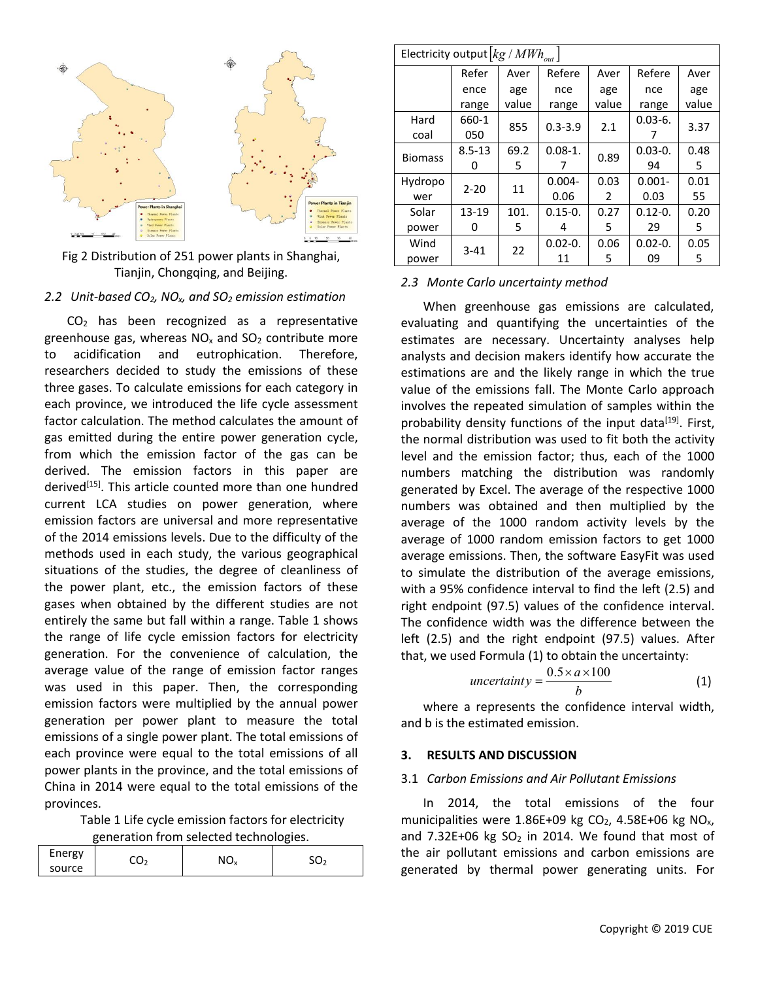

Fig 2 Distribution of 251 power plants in Shanghai, Tianjin, Chongqing, and Beijing.

#### *2.2 Unit-based CO2, NOx, and SO<sup>2</sup> emission estimation*

CO<sup>2</sup> has been recognized as a representative greenhouse gas, whereas  $NO<sub>x</sub>$  and  $SO<sub>2</sub>$  contribute more to acidification and eutrophication. Therefore, researchers decided to study the emissions of these three gases. To calculate emissions for each category in each province, we introduced the life cycle assessment factor calculation. The method calculates the amount of gas emitted during the entire power generation cycle, from which the emission factor of the gas can be derived. The emission factors in this paper are derived<sup>[15]</sup>. This article counted more than one hundred entity enerated by Exa current LCA studies on power generation, where emission factors are universal and more representative of the 2014 emissions levels. Due to the difficulty of the methods used in each study, the various geographical situations of the studies, the degree of cleanliness of the power plant, etc., the emission factors of these gases when obtained by the different studies are not entirely the same but fall within a range. Table 1 shows the range of life cycle emission factors for electricity generation. For the convenience of calculation, the average value of the range of emission factor ranges was used in this paper. Then, the corresponding emission factors were multiplied by the annual power generation per power plant to measure the total emissions of a single power plant. The total emissions of each province were equal to the total emissions of all 3. power plants in the province, and the total emissions of China in 2014 were equal to the total emissions of the provinces.

Table 1 Life cycle emission factors for electricity generation from selected technologies.

| Energy |   | NΓ     |  |
|--------|---|--------|--|
| source | ๛ | $\sim$ |  |

| Electricity output $\left [ kg\,/\,MWh_{_{out}} \, \right ]$ |            |       |             |       |             |       |   |
|--------------------------------------------------------------|------------|-------|-------------|-------|-------------|-------|---|
|                                                              | Refer      | Aver  | Refere      | Aver  | Refere      | Aver  |   |
|                                                              | ence       | age   | nce         | age   | nce         | age   |   |
|                                                              | range      | value | range       | value | range       | value |   |
| Hard                                                         | 660-1      | 855   | $0.3 - 3.9$ | 2.1   | $0.03 - 6.$ | 3.37  |   |
| coal                                                         | 050        |       |             |       |             |       |   |
| <b>Biomass</b>                                               | $8.5 - 13$ | 69.2  | $0.08-1.$   | 0.89  | $0.03 - 0.$ | 0.48  |   |
|                                                              | 0          | 5     |             |       | 94          | 5     |   |
| Hydropo                                                      | $2 - 20$   | 11    | $0.004 -$   | 0.03  | $0.001 -$   | 0.01  |   |
| wer                                                          |            |       | 0.06        | 2     | 0.03        | 55    |   |
| Solar                                                        | 13-19      | 101.  | $0.15 - 0.$ | 0.27  | $0.12 - 0.$ | 0.20  |   |
| power                                                        | 0          | 5     | 4           | 5     | 29          | 5     |   |
| Wind                                                         | $3 - 41$   | 22    | $0.02 - 0.$ | 0.06  | $0.02 - 0.$ | 0.05  |   |
| power                                                        |            |       |             | 11    | 5           | 09    | 5 |

## *2.3 Monte Carlo uncertainty method*

When greenhouse gas emissions are calculated, evaluating and quantifying the uncertainties of the estimates are necessary. Uncertainty analyses help analysts and decision makers identify how accurate the estimations are and the likely range in which the true value of the emissions fall. The Monte Carlo approach involves the repeated simulation of samples within the probability density functions of the input data<sup>[19]</sup>. First, the normal distribution was used to fit both the activity level and the emission factor; thus, each of the 1000 numbers matching the distribution was randomly generated by Excel. The average of the respective 1000 numbers was obtained and then multiplied by the average of the 1000 random activity levels by the average of 1000 random emission factors to get 1000 average emissions. Then, the software EasyFit was used to simulate the distribution of the average emissions, with a 95% confidence interval to find the left (2.5) and right endpoint (97.5) values of the confidence interval. The confidence width was the difference between the left (2.5) and the right endpoint (97.5) values. After that, we used Formula (1) to obtain the uncertainty:

$$
uncertainty = \frac{0.5 \times a \times 100}{b}
$$
 (1)

where a represents the confidence interval width, and b is the estimated emission.

#### **3. RESULTS AND DISCUSSION**

#### 3.1 *Carbon Emissions and Air Pollutant Emissions*

In 2014, the total emissions of the four municipalities were 1.86E+09 kg  $CO<sub>2</sub>$ , 4.58E+06 kg NO<sub>x</sub>, and  $7.32E+06$  kg  $SO<sub>2</sub>$  in 2014. We found that most of the air pollutant emissions and carbon emissions are generated by thermal power generating units. For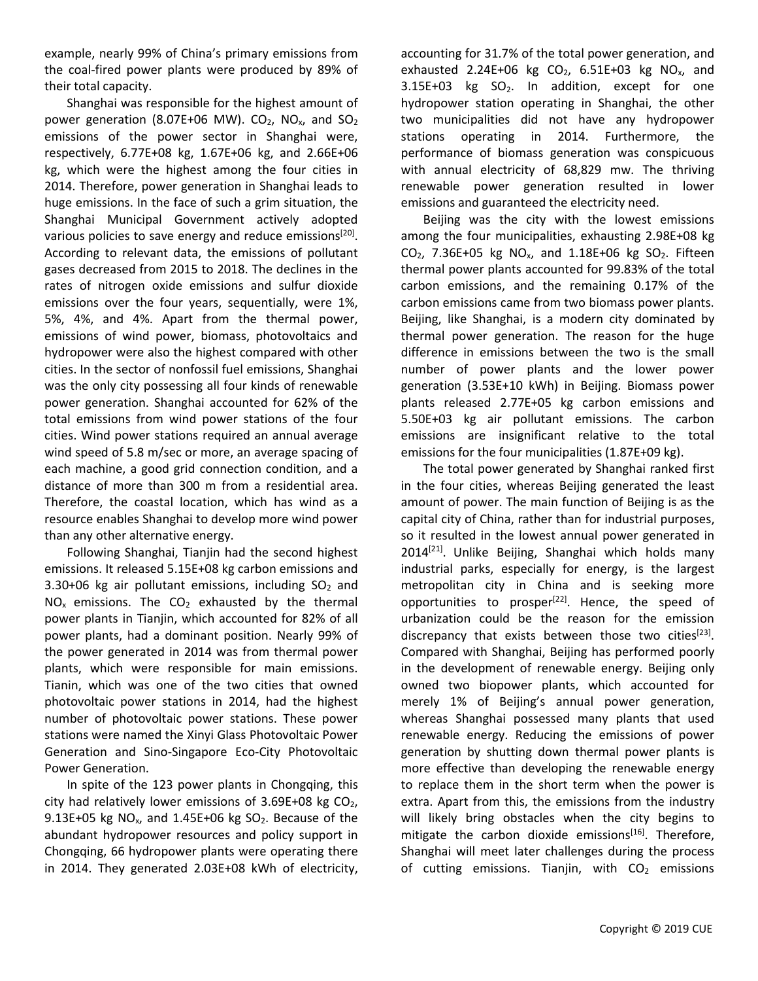example, nearly 99% of China's primary emissions from the coal-fired power plants were produced by89% of their total capacity.

Shanghai was responsible for the highest amount of power generation (8.07E+06 MW).  $CO<sub>2</sub>$ , NO<sub>x</sub>, and SO<sub>2</sub> emissions of the power sector in Shanghai were, respectively, 6.77E+08 kg, 1.67E+06 kg, and 2.66E+06 kg, which were the highest among the four cities in 2014. Therefore, power generation in Shanghai leads to huge emissions. In the face of such a grim situation, the Shanghai Municipal Government actively adopted various policies to save energy and reduce emissions<sup>[20]</sup>. According to relevant data, the emissions of pollutant gases decreased from 2015 to 2018. The declines in the rates of nitrogen oxide emissions and sulfur dioxide emissions over the four years, sequentially, were 1%, 5%, 4%, and 4%. Apart from the thermal power, emissions of wind power, biomass, photovoltaics and hydropower were also the highest compared with other cities. In the sector of nonfossil fuel emissions, Shanghai was the only city possessing all four kinds of renewable power generation. Shanghai accounted for 62% of the total emissions from wind power stations of the four cities. Wind power stations required an annual average wind speed of 5.8 m/sec or more, an average spacing of each machine, a good grid connection condition, and a distance of more than 300 m from a residential area.<br>Therefore, the coastal location, which has wind as a resource enables Shanghai to develop more wind power than any other alternative energy.

Following Shanghai, Tianjin had the second highest emissions. It released 5.15E+08 kg carbon emissions and 3.30+06 kg air pollutant emissions, including  $SO<sub>2</sub>$  and  $NO<sub>x</sub>$  emissions. The  $CO<sub>2</sub>$  exhausted by the thermal power plants in Tianjin, which accounted for 82% of all power plants, had a dominant position. Nearly 99% of the power generated in 2014 was from thermal power plants, which were responsible for main emissions. Tianin, which was one of the two cities that owned photovoltaic power stations in 2014, had the highest number of photovoltaic power stations. These power stations were named the Xinyi Glass Photovoltaic Power Generation and Sino-Singapore Eco-City Photovoltaic Power Generation.

In spite of the 123 power plants in Chongqing, this city had relatively lower emissions of 3.69E+08 kg  $CO<sub>2</sub>$ , 9.13E+05 kg  $NO<sub>x</sub>$ , and 1.45E+06 kg  $SO<sub>2</sub>$ . Because of the abundant hydropower resources and policy support in Chongqing, 66 hydropower plants were operating there in 2014. They generated 2.03E+08 kWh of electricity, accounting for 31.7% of the total power generation, and exhausted 2.24E+06 kg  $CO<sub>2</sub>$ , 6.51E+03 kg NO<sub>x</sub>, and  $3.15E+03$  kg  $SO<sub>2</sub>$ . In addition, except for one hydropower station operating in Shanghai, the other two municipalities did not have any hydropower stations operating in 2014. Furthermore, the performance of biomass generation was conspicuous with annual electricity of 68,829 mw. The thriving renewable power generation resulted in lower emissions and guaranteed the electricity need.

<sup>[20]</sup>. among the four municipalities, exhausting 2.98E+08 kg Beijing was the city with the lowest emissions  $CO<sub>2</sub>$ , 7.36E+05 kg NO<sub>x</sub>, and 1.18E+06 kg SO<sub>2</sub>. Fifteen thermal power plants accounted for 99.83% of the total carbon emissions, and the remaining 0.17% of the carbon emissions came from two biomass power plants. Beijing, like Shanghai, is a modern city dominated by thermal power generation. The reason for the huge difference in emissions between the two is the small number of power plants and the lower power generation (3.53E+10 kWh) in Beijing. Biomass power plants released 2.77E+05 kg carbon emissions and 5.50E+03 kg air pollutant emissions. The carbon emissions are insignificant relative to the total emissions for the four municipalities (1.87E+09 kg).

The total power generated by Shanghai ranked first in the four cities, whereas Beijing generated the least amount of power. The main function of Beijing is as the capital city of China, rather than for industrial purposes, so it resulted in the lowest annual power generated in 2014 [21]. Unlike Beijing, Shanghai which holds many industrial parks, especially for energy, is the largest metropolitan city in China and is seeking more opportunities to prosper<sup>[22]</sup>. Hence, the speed of urbanization could be the reason for the emission discrepancy that exists between those two cities<sup>[23]</sup>. Compared with Shanghai, Beijing has performed poorly in the development of renewable energy. Beijing only owned two biopower plants, which accounted for merely 1% of Beijing's annual power generation, whereas Shanghai possessed many plants that used renewable energy. Reducing the emissions of power generation by shutting down thermal power plants is more effective than developing the renewable energy to replace them in the short term when the power is extra. Apart from this, the emissions from the industry will likely bring obstacles when the city begins to mitigate the carbon dioxide emissions<sup>[16]</sup>. Therefore, Shanghai will meet later challenges during the process of cutting emissions. Tianjin, with  $CO<sub>2</sub>$  emissions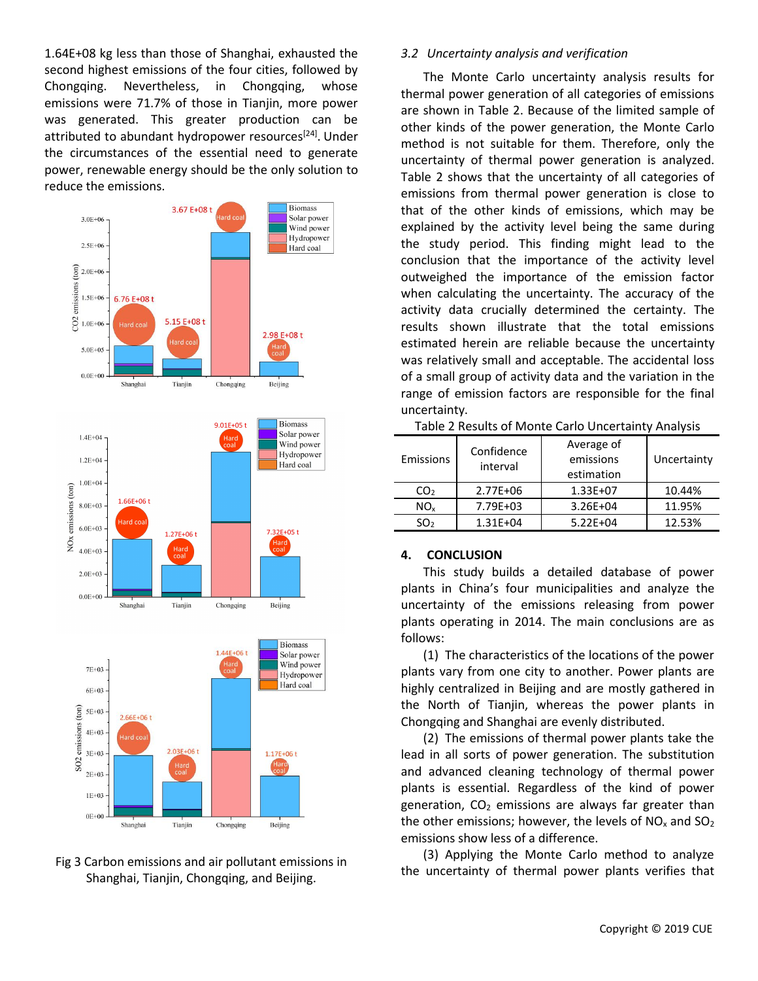1.64E+08 kg less than those of Shanghai, exhausted the second highest emissions of the four cities, followed by Chongqing. Nevertheless, in Chongqing, whose emissions were 71.7% of those in Tianjin, more power was generated. This greater production can be attributed to abundant hydropower resources<sup>[24]</sup>. Under the circumstances of the essential need to generate power, renewable energy should be the only solution to reduce the emissions.



# Fig 3 Carbon emissions and air pollutant emissions in Shanghai, Tianjin, Chongqing, and Beijing.

# *3.2 Uncertainty analysis and verification*

The Monte Carlo uncertainty analysis results for thermal power generation of all categories of emissions are shown in Table 2. Because of the limited sample of other kinds of the power generation, the Monte Carlo method is not suitable for them. Therefore, only the uncertainty of thermal power generation is analyzed. Table 2 shows that the uncertainty of all categories of emissions from thermal power generation is close to that of the other kinds of emissions, which may be explained by the activity level being the same during the study period. This finding might lead to the conclusion that the importance of the activity level outweighed the importance of the emission factor when calculating the uncertainty. The accuracy of the activity data crucially determined the certainty. The results shown illustrate that the total emissions estimated herein are reliable because the uncertainty was relatively small and acceptable. The accidental loss of a small group of activity data and the variation in the range of emission factors are responsible for the final uncertainty.

| <b>Emissions</b> | Confidence<br>interval | Average of<br>emissions<br>estimation | Uncertainty |
|------------------|------------------------|---------------------------------------|-------------|
| CO <sub>2</sub>  | $2.77E + 06$           | $1.33E + 07$                          | 10.44%      |
| NO <sub>x</sub>  | 7.79E+03               | $3.26E + 04$                          | 11.95%      |
| SO <sub>2</sub>  | $1.31E + 04$           | $5.22E + 04$                          | 12.53%      |

Table 2 Results of Monte Carlo Uncertainty Analysis

## **4. CONCLUSION**

This study builds a detailed database of power plants in China's four municipalities and analyze the uncertainty of the emissions releasing from power plants operating in 2014. The main conclusions are as follows:

(1) The characteristics of the locations of the power plants vary from one city to another. Power plants are highly centralized in Beijing and are mostly gathered in the North of Tianjin, whereas the power plants in Chongqing and Shanghai are evenly distributed.

(2) The emissions of thermal power plants take the lead in all sorts of power generation. The substitution and advanced cleaning technology of thermal power plants is essential. Regardless of the kind of power generation,  $CO<sub>2</sub>$  emissions are always far greater than the other emissions; however, the levels of  $NO<sub>x</sub>$  and  $SO<sub>2</sub>$ emissions show less of a difference.

(3) Applying the Monte Carlo method to analyze the uncertainty of thermal power plants verifies that